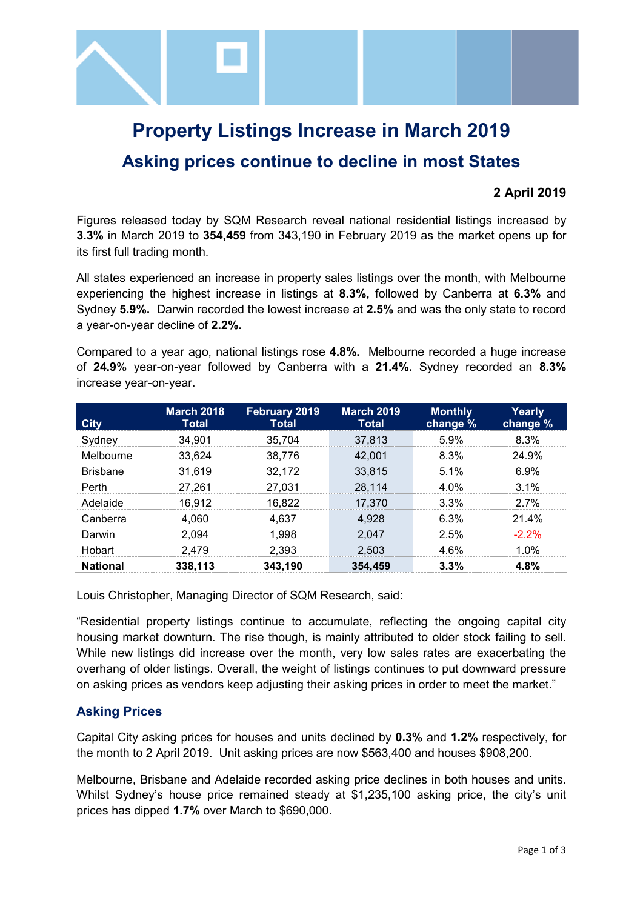

# **Property Listings Increase in March 2019 Asking prices continue to decline in most States**

## **2 April 2019**

Figures released today by SQM Research reveal national residential listings increased by **3.3%** in March 2019 to **354,459** from 343,190 in February 2019 as the market opens up for its first full trading month.

All states experienced an increase in property sales listings over the month, with Melbourne experiencing the highest increase in listings at **8.3%,** followed by Canberra at **6.3%** and Sydney **5.9%.** Darwin recorded the lowest increase at **2.5%** and was the only state to record a year-on-year decline of **2.2%.**

Compared to a year ago, national listings rose **4.8%.** Melbourne recorded a huge increase of **24.9**% year-on-year followed by Canberra with a **21.4%.** Sydney recorded an **8.3%** increase year-on-year.

| <b>City</b>     | <b>March 2018</b><br>Total | <b>February 2019</b><br><b>Total</b> | <b>March 2019</b><br><b>Total</b> | <b>Monthly</b><br>change % | Yearly<br>change % |
|-----------------|----------------------------|--------------------------------------|-----------------------------------|----------------------------|--------------------|
| Sydney          | 34.901                     | 35.704                               | 37,813                            | 5.9%                       | 8.3%               |
| Melbourne       | 33.624                     | 38.776                               | 42.001                            | 8.3%                       | 24.9%              |
| <b>Brisbane</b> | 31,619                     | 32,172                               | 33,815                            | $5.1\%$                    | 6.9%               |
| Perth           | 27.261                     | 27.031                               | 28,114                            | 4 በ%                       | $3.1\%$            |
| Adelaide        | 16,912                     | 16,822                               | 17,370                            | 3.3%                       | 27%                |
| Canberra        | 4.060                      | 4.637                                | 4.928                             | 6.3%                       | $21.4\%$           |
| Darwin          | 2.094                      | 1.998                                | 2.047                             | 2.5%                       | $-2.2%$            |
| Hobart          | 2.479                      | 2.393                                | 2.503                             | 4 6%                       | 1 በ%               |
| <b>National</b> | 338,113                    | 343,190                              | 354,459                           | 3.3%                       | 4.8%               |

Louis Christopher, Managing Director of SQM Research, said:

"Residential property listings continue to accumulate, reflecting the ongoing capital city housing market downturn. The rise though, is mainly attributed to older stock failing to sell. While new listings did increase over the month, very low sales rates are exacerbating the overhang of older listings. Overall, the weight of listings continues to put downward pressure on asking prices as vendors keep adjusting their asking prices in order to meet the market."

### **Asking Prices**

Capital City asking prices for houses and units declined by **0.3%** and **1.2%** respectively, for the month to 2 April 2019.Unit asking prices are now \$563,400 and houses \$908,200.

Melbourne, Brisbane and Adelaide recorded asking price declines in both houses and units. Whilst Sydney's house price remained steady at \$1,235,100 asking price, the city's unit prices has dipped **1.7%** over March to \$690,000.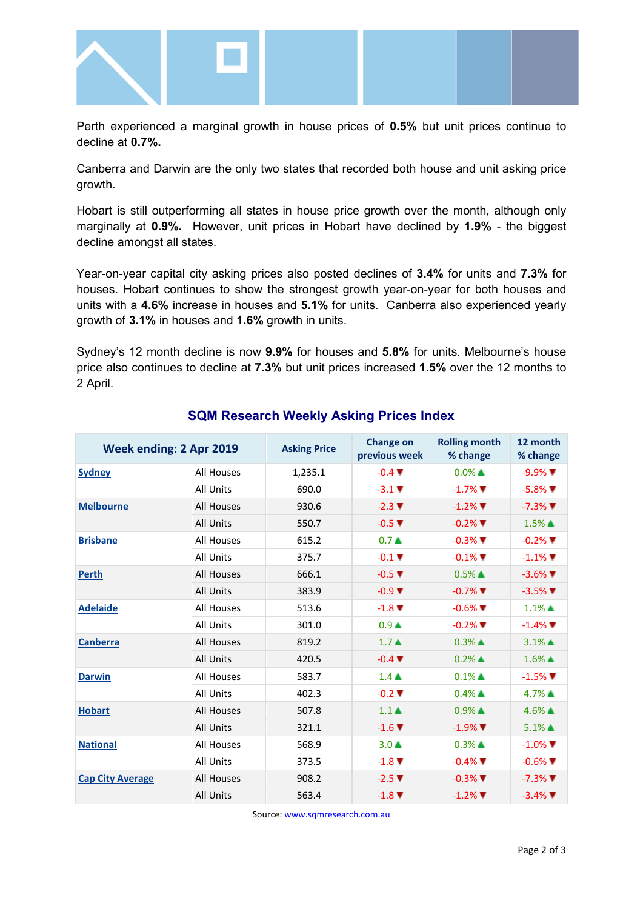

Perth experienced a marginal growth in house prices of **0.5%** but unit prices continue to decline at **0.7%.**

Canberra and Darwin are the only two states that recorded both house and unit asking price growth.

Hobart is still outperforming all states in house price growth over the month, although only marginally at **0.9%.** However, unit prices in Hobart have declined by **1.9%** - the biggest decline amongst all states.

Year-on-year capital city asking prices also posted declines of **3.4%** for units and **7.3%** for houses. Hobart continues to show the strongest growth year-on-year for both houses and units with a **4.6%** increase in houses and **5.1%** for units. Canberra also experienced yearly growth of **3.1%** in houses and **1.6%** growth in units.

Sydney's 12 month decline is now **9.9%** for houses and **5.8%** for units. Melbourne's house price also continues to decline at **7.3%** but unit prices increased **1.5%** over the 12 months to 2 April.

| <b>Week ending: 2 Apr 2019</b> |                   | <b>Asking Price</b> | <b>Change on</b><br>previous week | <b>Rolling month</b><br>% change | 12 month<br>% change    |
|--------------------------------|-------------------|---------------------|-----------------------------------|----------------------------------|-------------------------|
| <b>Sydney</b>                  | <b>All Houses</b> | 1,235.1             | $-0.4$ $\blacktriangledown$       | $0.0\%$ $\blacktriangle$         | $-9.9\%$                |
|                                | <b>All Units</b>  | 690.0               | $-3.1$ $\blacktriangledown$       | $-1.7\%$ $\blacksquare$          | $-5.8\%$ $\blacksquare$ |
| <b>Melbourne</b>               | All Houses        | 930.6               | $-2.3$ $\P$                       | $-1.2\%$ $\blacksquare$          | $-7.3\%$ $\blacksquare$ |
|                                | <b>All Units</b>  | 550.7               | $-0.5$ $\blacktriangledown$       | $-0.2\%$ $\blacksquare$          | $1.5\%$ $\triangle$     |
| <b>Brisbane</b>                | All Houses        | 615.2               | 0.7 <sub>A</sub>                  | $-0.3\%$ $\blacksquare$          | $-0.2\%$                |
|                                | <b>All Units</b>  | 375.7               | $-0.1$ $\blacktriangledown$       | $-0.1\%$                         | $-1.1\%$                |
| <b>Perth</b>                   | All Houses        | 666.1               | $-0.5$ $\blacktriangledown$       | $0.5\%$ $\triangle$              | $-3.6\%$ $\blacksquare$ |
|                                | <b>All Units</b>  | 383.9               | $-0.9$ $\Psi$                     | $-0.7\%$ $\blacksquare$          | $-3.5\%$                |
| <b>Adelaide</b>                | All Houses        | 513.6               | $-1.8$ $\blacktriangledown$       | $-0.6\%$                         | $1.1\%$ $\triangle$     |
|                                | <b>All Units</b>  | 301.0               | 0.9 <sub>A</sub>                  | $-0.2\%$ $\blacksquare$          | $-1.4\%$                |
| <b>Canberra</b>                | <b>All Houses</b> | 819.2               | $1.7 \triangle$                   | $0.3\%$ $\triangle$              | $3.1\%$ $\triangle$     |
|                                | <b>All Units</b>  | 420.5               | $-0.4$ $\blacktriangledown$       | $0.2\%$ $\triangle$              | $1.6\%$ $\triangle$     |
| <b>Darwin</b>                  | All Houses        | 583.7               | $1.4 \triangle$                   | $0.1\%$ $\triangle$              | $-1.5\%$                |
|                                | <b>All Units</b>  | 402.3               | $-0.2$ $\blacktriangledown$       | $0.4\%$ $\triangle$              | $4.7\%$ $\triangle$     |
| <b>Hobart</b>                  | All Houses        | 507.8               | $1.1 \triangle$                   | $0.9\%$ $\blacktriangle$         | $4.6\%$ $\triangle$     |
|                                | <b>All Units</b>  | 321.1               | $-1.6$ $\blacktriangledown$       | $-1.9\%$                         | $5.1\%$ $\triangle$     |
| <b>National</b>                | All Houses        | 568.9               | $3.0 \triangle$                   | $0.3\%$ $\triangle$              | $-1.0\%$                |
|                                | <b>All Units</b>  | 373.5               | $-1.8$ $\blacktriangledown$       | $-0.4\%$ $\blacksquare$          | $-0.6\%$                |
| <b>Cap City Average</b>        | <b>All Houses</b> | 908.2               | $-2.5$ $\blacktriangledown$       | $-0.3\%$ $\blacksquare$          | $-7.3\%$                |
|                                | <b>All Units</b>  | 563.4               | $-1.8$ $\blacktriangledown$       | $-1.2\%$ $\blacksquare$          | $-3.4\%$                |

### **SQM Research Weekly Asking Prices Index**

Source[: www.sqmresearch.com.au](http://www.sqmresearch.com.au/)